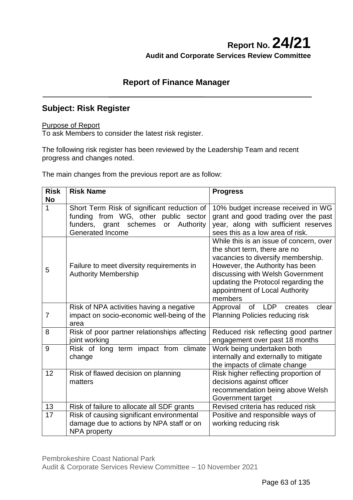# **Report No. 24/21 Audit and Corporate Services Review Committee**

## **Report of Finance Manager**

## **Subject: Risk Register**

### Purpose of Report

To ask Members to consider the latest risk register.

The following risk register has been reviewed by the Leadership Team and recent progress and changes noted.

The main changes from the previous report are as follow:

| <b>Risk</b>    | <b>Risk Name</b>                                                                                                                 | <b>Progress</b>                                                                                                                                                                                                                                                          |
|----------------|----------------------------------------------------------------------------------------------------------------------------------|--------------------------------------------------------------------------------------------------------------------------------------------------------------------------------------------------------------------------------------------------------------------------|
| <b>No</b>      |                                                                                                                                  |                                                                                                                                                                                                                                                                          |
| 1              | Short Term Risk of significant reduction of<br>funding from WG, other public sector<br>funders,<br>grant schemes or<br>Authority | 10% budget increase received in WG<br>grant and good trading over the past<br>year, along with sufficient reserves                                                                                                                                                       |
|                | <b>Generated Income</b>                                                                                                          | sees this as a low area of risk.                                                                                                                                                                                                                                         |
| 5              | Failure to meet diversity requirements in<br><b>Authority Membership</b>                                                         | While this is an issue of concern, over<br>the short term, there are no<br>vacancies to diversify membership.<br>However, the Authority has been<br>discussing with Welsh Government<br>updating the Protocol regarding the<br>appointment of Local Authority<br>members |
| $\overline{7}$ | Risk of NPA activities having a negative<br>impact on socio-economic well-being of the<br>area                                   | <b>of</b><br><b>LDP</b><br>clear<br>Approval<br>creates<br><b>Planning Policies reducing risk</b>                                                                                                                                                                        |
| 8              | Risk of poor partner relationships affecting<br>joint working                                                                    | Reduced risk reflecting good partner<br>engagement over past 18 months                                                                                                                                                                                                   |
| 9              | Risk of long term impact from climate<br>change                                                                                  | Work being undertaken both<br>internally and externally to mitigate<br>the impacts of climate change                                                                                                                                                                     |
| 12             | Risk of flawed decision on planning<br>matters                                                                                   | Risk higher reflecting proportion of<br>decisions against officer<br>recommendation being above Welsh<br>Government target                                                                                                                                               |
| 13             | Risk of failure to allocate all SDF grants                                                                                       | Revised criteria has reduced risk                                                                                                                                                                                                                                        |
| 17             | Risk of causing significant environmental<br>damage due to actions by NPA staff or on<br>NPA property                            | Positive and responsible ways of<br>working reducing risk                                                                                                                                                                                                                |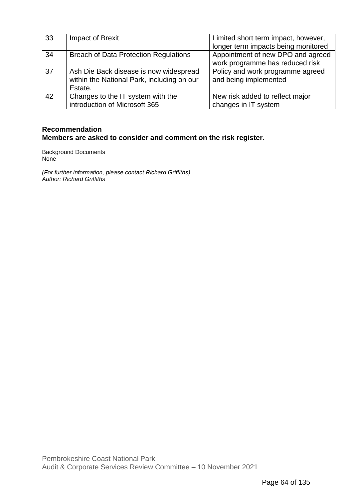| 33 | Impact of Brexit                             | Limited short term impact, however, |
|----|----------------------------------------------|-------------------------------------|
|    |                                              | longer term impacts being monitored |
| 34 | <b>Breach of Data Protection Regulations</b> | Appointment of new DPO and agreed   |
|    |                                              | work programme has reduced risk     |
| 37 | Ash Die Back disease is now widespread       | Policy and work programme agreed    |
|    | within the National Park, including on our   | and being implemented               |
|    | Estate.                                      |                                     |
| 42 | Changes to the IT system with the            | New risk added to reflect major     |
|    | introduction of Microsoft 365                | changes in IT system                |

## **Recommendation Members are asked to consider and comment on the risk register.**

Background Documents **None** 

*(For further information, please contact Richard Griffiths) Author: Richard Griffiths*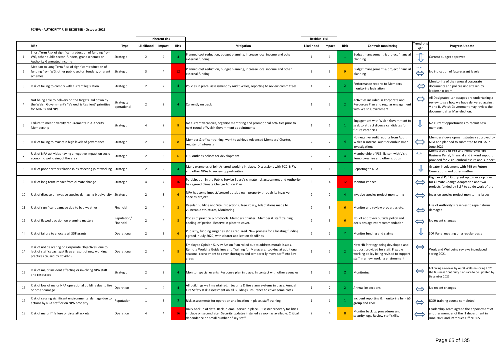#### **PCNPA - AUTHORITY RISK REGISTER - October 2021**

|                         |                                                                                                                                                                 |             |                | <b>Inherent risk</b> |                |                                                                                                                                                                                                                                                | <b>Residual risk</b> |                         |                 |                                                                                                                                                               |                            |                                                                                                                                                                        |
|-------------------------|-----------------------------------------------------------------------------------------------------------------------------------------------------------------|-------------|----------------|----------------------|----------------|------------------------------------------------------------------------------------------------------------------------------------------------------------------------------------------------------------------------------------------------|----------------------|-------------------------|-----------------|---------------------------------------------------------------------------------------------------------------------------------------------------------------|----------------------------|------------------------------------------------------------------------------------------------------------------------------------------------------------------------|
|                         | <b>RISK</b>                                                                                                                                                     | Type        | Likelihood     | Impact               | Risk           | <b>Mitigation</b>                                                                                                                                                                                                                              | Likelihood           | Impact                  | Risk            | Control/ monitoring                                                                                                                                           | <b>Trend this</b><br>atr   | <b>Progress Update</b>                                                                                                                                                 |
|                         | Short Term Risk of significant reduction of funding from<br>WG, other public sector funders, grant schemes or<br>Strategic<br><b>Authority Generated Income</b> |             | $\overline{2}$ |                      |                | Planned cost reduction, budget planning, increase local income and other<br>external funding                                                                                                                                                   |                      |                         |                 | Budget management & project financial<br>planning                                                                                                             |                            | Current budget approved                                                                                                                                                |
| $\overline{2}$          | Medium to Long Term Risk of significant reduction of<br>funding from WG, other public sector funders, or grant<br>Strategic<br>schemes                          |             | -3             |                      | 12             | Planned cost reduction, budget planning, increase local income and other<br>external funding                                                                                                                                                   | 3                    |                         | $\overline{q}$  | Budget management & project financial<br>planning                                                                                                             | and a<br>$\Leftrightarrow$ | No indication of future grant levels                                                                                                                                   |
| $\overline{\mathbf{3}}$ | Risk of failing to comply with current legislation<br>Strategic                                                                                                 |             | 2              | $\overline{2}$       | $\overline{4}$ | Policies in place, assessment by Audit Wales, reporting to review committees                                                                                                                                                                   | $\mathbf{1}$         | $\overline{2}$          |                 | Performance reports to Members,<br>monitoring legislation                                                                                                     | $\Leftrightarrow$          | Monitoring of the renewal corporate<br>documents and polices undertaken by<br>leadership team                                                                          |
| 4                       | Not being able to delivery on the targets laid down by<br>Strategic/<br>the Welsh Government's "Valued & Resilient" priorities<br>for AONBs and NPs.            | operational | $\overline{2}$ | $\overline{2}$       | $\overline{4}$ | Currently on track                                                                                                                                                                                                                             |                      | 2                       |                 | Activities included in Corporate and<br>Resources Plan and regular engagement<br>with Welsh Government                                                        | $\Leftrightarrow$          | All Designated Landscapes are undertaking a<br>review to see how we have delivered against<br>V and R. Welsh Government may review the<br>document after May election. |
| -5                      | Failure to meet diversity requirements in Authority<br>Strategic<br>Membership                                                                                  |             |                | -2                   |                | No current vacancies, organise mentoring and promotional activities prior to<br>next round of Welsh Government appointments                                                                                                                    | 1                    | 1                       |                 | Engagement with Welsh Government to<br>seek to attract diverse candidates for<br>future vacancies                                                             |                            | No current opportunities to recruit new<br>members                                                                                                                     |
| 6                       | Risk of failing to maintain high levels of governance<br>Strategic                                                                                              |             | $\overline{2}$ |                      |                | Member & officer training, work to achieve Advanced Members' Charter,<br>egister of interests                                                                                                                                                  | $\overline{2}$       | 2                       |                 | No negative audit reports from Audit<br>Wales & internal audit or ombudsman<br>investigations                                                                 | $\Leftrightarrow$          | Members' development strategy approved by<br>NPA and planned to submitted to WLGA in<br>June 2021                                                                      |
|                         | Risk of NPA activities having a negative impact on socio-<br>Strategic<br>economic well-being of the area                                                       |             | 2              | -3                   | 6              | LDP outlines polices for development                                                                                                                                                                                                           | $\overline{2}$       | 2                       |                 | Membership of PSB, liaison with Visit<br>Pembrokeshire and other groups                                                                                       | $\mathbf u$                | Membership of PSB and Pembrokeshire<br>Business Panel, financial and in-kind support<br>provided for Visit Pembrokeshire and support                                   |
| 8                       | Risk of poor partner relationships affecting joint working Strategic                                                                                            |             | 2              | $\overline{2}$       |                | Many examples of joint/shared working in place. Discussions with PCC, NRW<br>and other NPAs to review opportunities                                                                                                                            | $\mathbf{1}$         | 1                       |                 | Reporting to NPA                                                                                                                                              |                            | Greater involvement with PSB on Future<br>Generations and other matters.                                                                                               |
| 9                       | Risk of long term impact from climate change<br>Strategic                                                                                                       |             | $\overline{a}$ |                      | 16             | Participation in the Public Service Board's climate risk assessment and Authority<br>as agreed Climate Change Action Plan                                                                                                                      | 3                    |                         | 12 <sub>1</sub> | <b>Monitor impact</b>                                                                                                                                         | $\Leftrightarrow$          | High level PSB Group set up to develop plan<br>for Climate Change Adaptation and two<br>projects funded by SLSP to guide work of the                                   |
| 10                      | Risk of disease or invasive species damaging biodiversity Strategic                                                                                             |             | $\overline{2}$ |                      | 6              | NPA has some impact/control outside own property through its Invasive<br>Species project                                                                                                                                                       | $\overline{2}$       | 2                       | $\overline{4}$  | Invasive species project monitoring                                                                                                                           | $\Longleftrightarrow$      | Invasion species project monitoring issues                                                                                                                             |
| 11                      | Risk of significant damage due to bad weather<br>Financial                                                                                                      |             | $\overline{2}$ |                      |                | Regular Building and Site Inspections, Tree Policy, Adaptations made to<br>vulnerable structures, Monitoring                                                                                                                                   | 2                    |                         | -6              | Monitor and review properties etc.                                                                                                                            | $\Leftrightarrow$          | Use of Authority's reserves to repair storm<br>damaged                                                                                                                 |
| 12                      | Risk of flawed decision on planning matters<br>Financial                                                                                                        | Reputation/ | $\mathcal{D}$  |                      |                | Codes of practice & protocols. Members Charter. Member & staff training,<br>cooling-off period. Reserve in place to cover.                                                                                                                     | $\overline{2}$       |                         |                 | No. of approvals outside policy and<br>decisions against recommendation                                                                                       | $\Leftrightarrow$          | No recent changes                                                                                                                                                      |
| 13                      | Risk of failure to allocate all SDF grants                                                                                                                      | Operational | $\overline{2}$ |                      |                | Publicity, funding surgeries etc as required. New process for allocating funding<br>agreed in July 2020, with clearer application deadlines                                                                                                    |                      | $\overline{\mathbf{1}}$ |                 | Monitor funding and claims                                                                                                                                    | ₩                          | SDF Panel meeting on a regular basis                                                                                                                                   |
| 14                      | Risk of not delivering on Corporate Objectives, due to<br>lack of staff capacity/skills as a result of new working<br>practices caused by Covid-19              | Operational | $\overline{2}$ |                      | 8              | Employee Opinion Survey Action Plan rolled out to address morale issues.<br>Remote Working Guidelines and Training for Managers. Looking at additional<br>seasonal recruitment to cover shortages and temporarily move staff into key<br>areas |                      | 2                       | $\overline{2}$  | New HR Strategy being developed and<br>support provided for staff. Flexible<br>working policy being revised to support<br>staff in a new working environment. | $\Longleftrightarrow$      | Work and Wellbeing reviews introduced<br>spring 2021                                                                                                                   |
| 15                      | Risk of major incident affecting or involving NPA staff<br>Strategic<br>and resources                                                                           |             | $\overline{2}$ | $\overline{2}$       | -4             | Monitor special events. Response plan in place. In contact with other agencies                                                                                                                                                                 | 1                    | $\overline{2}$          | -2              | Monitoring                                                                                                                                                    | $\Leftrightarrow$          | Following a review by Audit Wales in spring 2020<br>the Business Continuity plans are to be updated by<br>December 2021                                                |
| 16                      | Risk of loss of major NPA operational building due to fire<br>Operation<br>or other damage                                                                      |             |                |                      |                | All buildings well maintained. Security & fire alarm systems in place. Annual<br>Fire Safety Risk Assessment on all Buildings. Insurance to cover some costs                                                                                   | 1                    | 2                       | -2              | Annual inspections                                                                                                                                            | $\Leftrightarrow$          | No recent changes                                                                                                                                                      |
| 17                      | Risk of causing significant environmental damage due to<br>Reputation<br>actions by NPA staff or on NPA property                                                |             |                | -3                   |                | Risk assessments for operation and location in place, staff training.                                                                                                                                                                          | 1                    | -1                      |                 | Incident reporting & monitoring by H&S<br>group and CMT.                                                                                                      | $\Leftrightarrow$          | IOSH training course completed.                                                                                                                                        |
| 18                      | Risk of major IT failure or virus attack etc<br>Operation                                                                                                       |             |                |                      | <b>16</b>      | Daily backup of data. Backup email server in place. Disaster recovery facilities<br>in place on second site. Security updates installed as soon as available. Critical<br>dependence on small number of key staff.                             | 2                    |                         |                 | Monitor back up procedures and<br>security logs. Review staff skills.                                                                                         | $\Longleftrightarrow$      | Leadership Team agreed the appointment of<br>another member of the IT department in<br>June 2021 and introduce Office 365                                              |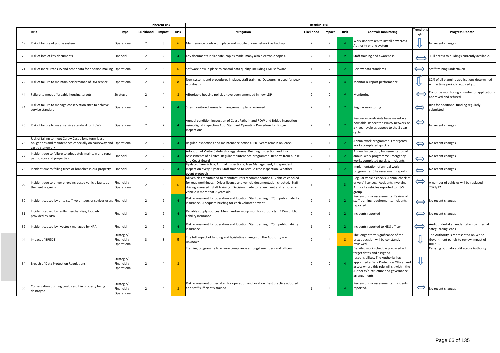|    |                                                                                                                                                |                                          |                         | <b>Inherent risk</b> |             |                                                                                                                                                                                                                                                                              | <b>Residual risk</b> |                |                |                                                                                                                                                                                                                                                          |                          |                                                                                                  |
|----|------------------------------------------------------------------------------------------------------------------------------------------------|------------------------------------------|-------------------------|----------------------|-------------|------------------------------------------------------------------------------------------------------------------------------------------------------------------------------------------------------------------------------------------------------------------------------|----------------------|----------------|----------------|----------------------------------------------------------------------------------------------------------------------------------------------------------------------------------------------------------------------------------------------------------|--------------------------|--------------------------------------------------------------------------------------------------|
|    | <b>RISK</b>                                                                                                                                    | Type                                     | Likelihood              | Impact               | Risk        | <b>Mitigation</b>                                                                                                                                                                                                                                                            | Likelihood           | Impact         | Risk           | Control/ monitoring                                                                                                                                                                                                                                      | <b>Trend this</b><br>atr | <b>Progress Update</b>                                                                           |
| 19 | Risk of failure of phone system                                                                                                                | Operational                              | $\overline{2}$          |                      | -6          | Maintenance contract in place and mobile phone network as backup                                                                                                                                                                                                             | 2                    |                |                | Work undertaken to install new cross<br>Authority phone system                                                                                                                                                                                           |                          | No recent changes                                                                                |
| 20 | Risk of loss of key documents                                                                                                                  | Financial                                | 2                       | $\overline{2}$       |             | Key documents in fire safe, copies made, many also electronic copies.                                                                                                                                                                                                        | 2                    | 1              | $\mathbf{2}$   | Staff training and awareness.                                                                                                                                                                                                                            |                          | Full access to buidings currently available.                                                     |
| 21 | Risk of inaccurate GIS and other data for decision making Operational                                                                          |                                          | $\overline{2}$          |                      | $6^{\circ}$ | Software now in place to control data quality, including FME software                                                                                                                                                                                                        | 1                    | 2              | $\overline{2}$ | Review data standards                                                                                                                                                                                                                                    | $\Longleftrightarrow$    | Staff training undertaken                                                                        |
| 22 | Risk of failure to maintain performance of DM service                                                                                          | Operational                              | $\overline{2}$          |                      |             | New systems and procedures in place, staff training. Outsourcing used for peak<br>workloads                                                                                                                                                                                  | $\overline{2}$       | $\overline{2}$ | $\overline{4}$ | Monitor & report performance                                                                                                                                                                                                                             | ₩                        | 82% of all planning applications determined<br>within time periods required ytd.                 |
| 23 | Failure to meet affordable housing targets                                                                                                     | Strategic                                | 2                       |                      | 8           | Affordable housing policies have been amended in new LDP                                                                                                                                                                                                                     | $\overline{2}$       | -2             | $\overline{4}$ | Monitoring                                                                                                                                                                                                                                               | $\Longleftrightarrow$    | Continue monitoring - number of applications<br>approved and refused.                            |
| 24 | Risk of failure to manage conservation sites to achieve<br>service standard                                                                    | Operational                              | 2                       | 2                    |             | Sites monitored annually, management plans reviewed                                                                                                                                                                                                                          | 2                    | -1             |                | Regular monitoring                                                                                                                                                                                                                                       | $\Leftrightarrow$        | Bids for additional funding regularly<br>submitted.                                              |
| 25 | Risk of failure to meet service standard for RoWs                                                                                              | Operational                              | $\overline{2}$          | $\overline{2}$       |             | Annual condition inspection of Coast Path, Inland ROW and Bridge inspection<br>using digital inspection App. Standard Operating Procedure for Bridge<br>nspections                                                                                                           | $\overline{2}$       | 1              |                | Resource constraints have meant we<br>now able inspect the PROW network on<br>a 4 year cycle as oppose to the 3 year<br>cycle.                                                                                                                           | $\Leftrightarrow$        | No recent changes                                                                                |
| 26 | Risk of failing to meet Carew Castle long term lease<br>obligations and maintenance especially on causeway and Operational<br>castle stonework |                                          | $\overline{2}$          |                      |             | Regular inspections and maintenance actions. 60+ years remain on lease.                                                                                                                                                                                                      | 2                    |                |                | Annual work programme. Emergency<br>works completed quickly                                                                                                                                                                                              | $\Leftrightarrow$        | No recent changes                                                                                |
| 27 | Incident due to failure to adequately maintain and repair<br>paths, sites and properties                                                       | Financial                                | $\overline{2}$          |                      |             | Adoption of Visitor Safety Strategy, Annual Building Inspection and Risk<br>Assessments of all sites. Regular maintenance programme. Reports from public<br>and Coast Guard                                                                                                  | $\overline{2}$       |                |                | Annual Inspection, Implementation of<br>annual work programme Emergency<br>works completed quickly, Incidents                                                                                                                                            | $\Leftrightarrow$        | No recent changes                                                                                |
| 28 | Incident due to falling trees or branches in our property                                                                                      | Financial                                | $\overline{2}$          |                      |             | Updated Tree Policy, Annual Inspections, Tree Management, Independent<br>Inspection every 3 years, Staff trained to Level 2 Tree Inspection, Weather<br>event protocols                                                                                                      | 2                    |                |                | Implementation of annual work<br>programme. Site assessment reports                                                                                                                                                                                      | $\Leftrightarrow$        | No recent changes                                                                                |
| 29 | Incident due to driver error/increased vehicle faults as<br>the fleet is ageing.                                                               | inancial /<br>Operational                | $\overline{2}$          |                      | -6          | All vehicles maintained to manufacturers recommendations. Vehicles checked<br>or roadworthiness. Driver licence and vehicle documentation checked. Staff<br>driving assessed. Staff training. Decision made to renew fleet and ensure no<br>vehicle is more that 7 years old |                      | 3              |                | Regular vehicle checks. Annual check of<br>drivers' licences. Accidents involving<br>Authority vehicles reported to H&S<br>group.                                                                                                                        | $\Leftrightarrow$        | A number of vehicles will be replaced in<br>2021/22                                              |
| 30 | Incident caused by or to staff, volunteers or sevices users Financial                                                                          |                                          | 2                       |                      |             | Risk assessment for operation and location. Staff training. £25m public liability<br>insurance. Adequate briefing for each volunteer event                                                                                                                                   | $\overline{2}$       |                |                | Review of risk assessments. Review of<br>staff training requirements. Incidents<br>reported.                                                                                                                                                             | $\Longleftrightarrow$    | No recent changes                                                                                |
| 31 | Incident caused by faulty merchandise, food etc<br>provided by NPA                                                                             | Financial                                | $\overline{2}$          |                      |             | Reliable supply sources. Merchandise group monitors products. £25m public<br>liability insurance                                                                                                                                                                             | 2                    |                |                | Incidents reported                                                                                                                                                                                                                                       | $\Longleftrightarrow$    | No recent changes                                                                                |
| 32 | Incident caused by livestock managed by NPA                                                                                                    | Financial                                | $\overline{2}$          |                      |             | Risk assessment for operation and location, Staff training, £25m public liability<br>insurance                                                                                                                                                                               |                      | $\overline{2}$ |                | Incidents reported to H&S officer                                                                                                                                                                                                                        | $\Longleftrightarrow$    | Audit undertaken under taken by internal<br>safeguarding leads                                   |
| 33 | Impact of BREXIT                                                                                                                               | Strategic/<br>Financial /<br>Operational | $\overline{\mathbf{3}}$ |                      | -9          | The full impact of funding and legislative changes on the Authority are<br>unknown.                                                                                                                                                                                          | $\overline{2}$       |                | -8             | The longer term significance of the<br>brexit decision will be constantly<br>eviewed                                                                                                                                                                     |                          | The Authority is represented on Welsh<br>Government panels to review impact of<br><b>BREXIT.</b> |
| 34 | Breach of Data Protection Regulations                                                                                                          | Strategic/<br>Financial /<br>Operational | $\overline{2}$          | -4                   | -8          | Training programme to ensure compliance amongst members and officers                                                                                                                                                                                                         | 2                    | $\overline{2}$ |                | Detailed work schedule prepared with<br>target dates and assigned<br>responsibilites. The Authority has<br>appointed a Data Protection Officer and<br>assess where this role will sit within the<br>Authority's structure and governance<br>arrangements | ₩                        | Carrying out data audit across Authority.                                                        |
| 35 | Conservation burning could result in property being<br>destroyed                                                                               | Strategic/<br>Financial /<br>Operational | $\overline{z}$          |                      | 8           | Risk assessment undertaken for operation and location. Best practice adopted<br>and staff sufficiently trained                                                                                                                                                               | 1                    |                | $\Delta$       | Review of risk assessments. Incidents<br>reported.                                                                                                                                                                                                       | $\Longleftrightarrow$    | No recent changes                                                                                |